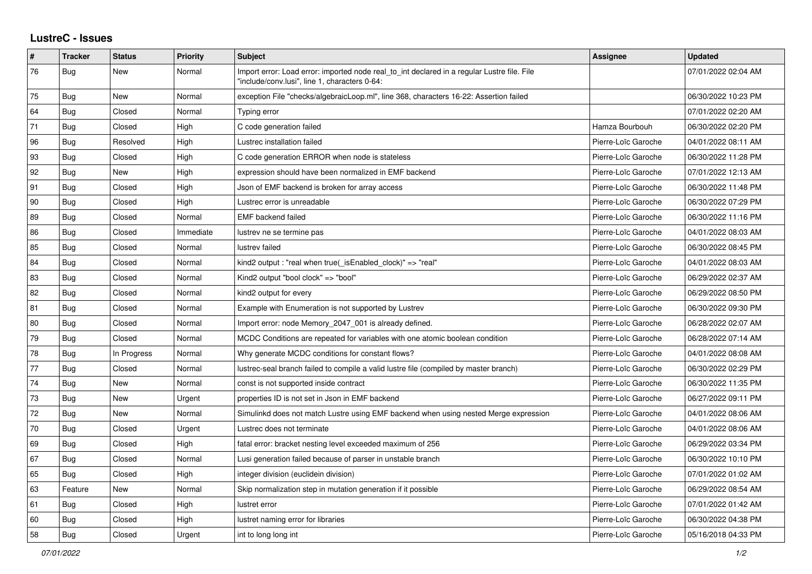## **LustreC - Issues**

| $\sharp$ | <b>Tracker</b> | <b>Status</b> | Priority  | <b>Subject</b>                                                                                                                               | <b>Assignee</b>     | <b>Updated</b>      |
|----------|----------------|---------------|-----------|----------------------------------------------------------------------------------------------------------------------------------------------|---------------------|---------------------|
| 76       | <b>Bug</b>     | New           | Normal    | Import error: Load error: imported node real_to_int declared in a regular Lustre file. File<br>"include/conv.lusi", line 1, characters 0-64: |                     | 07/01/2022 02:04 AM |
| 75       | <b>Bug</b>     | <b>New</b>    | Normal    | exception File "checks/algebraicLoop.ml", line 368, characters 16-22: Assertion failed                                                       |                     | 06/30/2022 10:23 PM |
| 64       | Bug            | Closed        | Normal    | Typing error                                                                                                                                 |                     | 07/01/2022 02:20 AM |
| 71       | <b>Bug</b>     | Closed        | High      | C code generation failed                                                                                                                     | Hamza Bourbouh      | 06/30/2022 02:20 PM |
| 96       | Bug            | Resolved      | High      | Lustrec installation failed                                                                                                                  | Pierre-Loïc Garoche | 04/01/2022 08:11 AM |
| 93       | <b>Bug</b>     | Closed        | High      | C code generation ERROR when node is stateless                                                                                               | Pierre-Loïc Garoche | 06/30/2022 11:28 PM |
| 92       | <b>Bug</b>     | <b>New</b>    | High      | expression should have been normalized in EMF backend                                                                                        | Pierre-Loïc Garoche | 07/01/2022 12:13 AM |
| 91       | Bug            | Closed        | High      | Json of EMF backend is broken for array access                                                                                               | Pierre-Loïc Garoche | 06/30/2022 11:48 PM |
| 90       | Bug            | Closed        | High      | Lustrec error is unreadable                                                                                                                  | Pierre-Loïc Garoche | 06/30/2022 07:29 PM |
| 89       | Bug            | Closed        | Normal    | EMF backend failed                                                                                                                           | Pierre-Loïc Garoche | 06/30/2022 11:16 PM |
| 86       | <b>Bug</b>     | Closed        | Immediate | lustrev ne se termine pas                                                                                                                    | Pierre-Loïc Garoche | 04/01/2022 08:03 AM |
| 85       | Bug            | Closed        | Normal    | lustrev failed                                                                                                                               | Pierre-Loïc Garoche | 06/30/2022 08:45 PM |
| 84       | Bug            | Closed        | Normal    | kind2 output : "real when true( isEnabled clock)" => "real"                                                                                  | Pierre-Loïc Garoche | 04/01/2022 08:03 AM |
| 83       | <b>Bug</b>     | Closed        | Normal    | Kind2 output "bool clock" => "bool"                                                                                                          | Pierre-Loïc Garoche | 06/29/2022 02:37 AM |
| 82       | <b>Bug</b>     | Closed        | Normal    | kind2 output for every                                                                                                                       | Pierre-Loïc Garoche | 06/29/2022 08:50 PM |
| 81       | Bug            | Closed        | Normal    | Example with Enumeration is not supported by Lustrev                                                                                         | Pierre-Loïc Garoche | 06/30/2022 09:30 PM |
| 80       | Bug            | Closed        | Normal    | Import error: node Memory_2047_001 is already defined.                                                                                       | Pierre-Loïc Garoche | 06/28/2022 02:07 AM |
| 79       | Bug            | Closed        | Normal    | MCDC Conditions are repeated for variables with one atomic boolean condition                                                                 | Pierre-Loïc Garoche | 06/28/2022 07:14 AM |
| 78       | <b>Bug</b>     | In Progress   | Normal    | Why generate MCDC conditions for constant flows?                                                                                             | Pierre-Loïc Garoche | 04/01/2022 08:08 AM |
| 77       | <b>Bug</b>     | Closed        | Normal    | lustrec-seal branch failed to compile a valid lustre file (compiled by master branch)                                                        | Pierre-Loïc Garoche | 06/30/2022 02:29 PM |
| 74       | Bug            | <b>New</b>    | Normal    | const is not supported inside contract                                                                                                       | Pierre-Loïc Garoche | 06/30/2022 11:35 PM |
| 73       | <b>Bug</b>     | <b>New</b>    | Urgent    | properties ID is not set in Json in EMF backend                                                                                              | Pierre-Loïc Garoche | 06/27/2022 09:11 PM |
| 72       | Bug            | New           | Normal    | Simulinkd does not match Lustre using EMF backend when using nested Merge expression                                                         | Pierre-Loïc Garoche | 04/01/2022 08:06 AM |
| $70\,$   | <b>Bug</b>     | Closed        | Urgent    | Lustrec does not terminate                                                                                                                   | Pierre-Loïc Garoche | 04/01/2022 08:06 AM |
| 69       | Bug            | Closed        | High      | fatal error: bracket nesting level exceeded maximum of 256                                                                                   | Pierre-Loïc Garoche | 06/29/2022 03:34 PM |
| 67       | Bug            | Closed        | Normal    | Lusi generation failed because of parser in unstable branch                                                                                  | Pierre-Loïc Garoche | 06/30/2022 10:10 PM |
| 65       | Bug            | Closed        | High      | integer division (euclidein division)                                                                                                        | Pierre-Loïc Garoche | 07/01/2022 01:02 AM |
| 63       | Feature        | New           | Normal    | Skip normalization step in mutation generation if it possible                                                                                | Pierre-Loïc Garoche | 06/29/2022 08:54 AM |
| 61       | <b>Bug</b>     | Closed        | High      | lustret error                                                                                                                                | Pierre-Loïc Garoche | 07/01/2022 01:42 AM |
| 60       | <b>Bug</b>     | Closed        | High      | lustret naming error for libraries                                                                                                           | Pierre-Loïc Garoche | 06/30/2022 04:38 PM |
| 58       | Bug            | Closed        | Urgent    | int to long long int                                                                                                                         | Pierre-Loïc Garoche | 05/16/2018 04:33 PM |